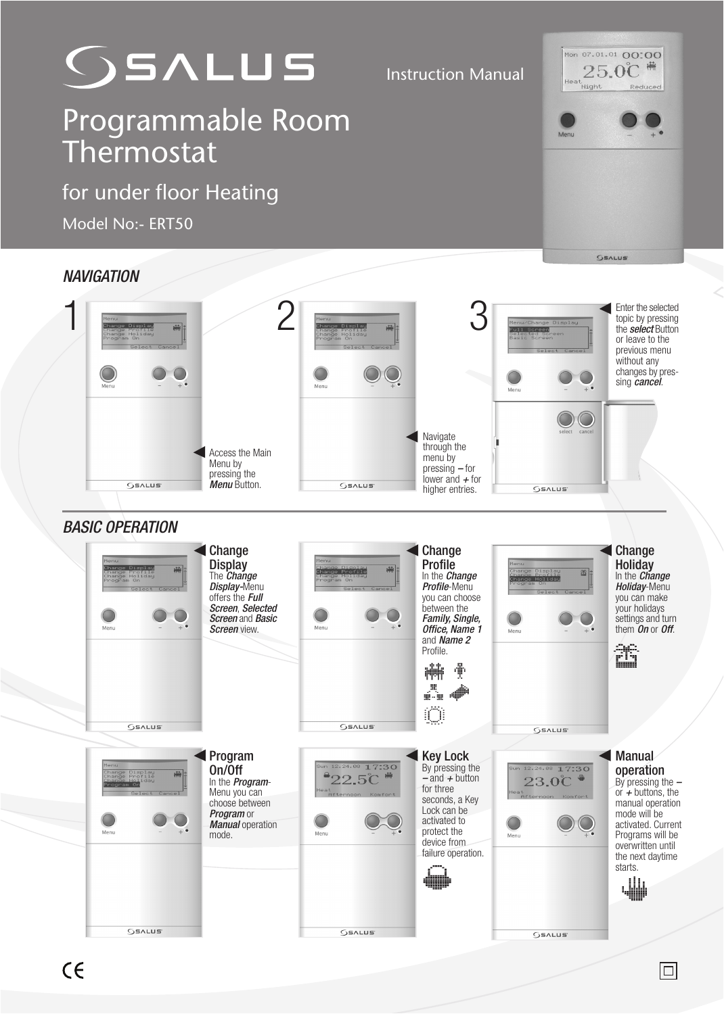

Instruction Manual

## Programmable Room Thermostat

for under floor Heating

Model No:- ERT50

## Mon 07.01.01 00:00  $25.0^{\circ}$

| <b>NAVIGATION</b>      |                                                                                            |                                                                                                                                        |                                                                                                  |                                                                                                                                                                                                        |                                                                                                        |                                                                                                                                                                                                     |
|------------------------|--------------------------------------------------------------------------------------------|----------------------------------------------------------------------------------------------------------------------------------------|--------------------------------------------------------------------------------------------------|--------------------------------------------------------------------------------------------------------------------------------------------------------------------------------------------------------|--------------------------------------------------------------------------------------------------------|-----------------------------------------------------------------------------------------------------------------------------------------------------------------------------------------------------|
|                        | <b>tenu</b><br>hange<br>補<br>Change Profile<br>Change Holiday<br>Program On                |                                                                                                                                        | Menu<br>Change Display<br>$\frac{1}{2}$<br>change Protile<br>Change Holiday<br>rogram On<br>Menu | 3                                                                                                                                                                                                      | Menu/Change Display<br>Full Screen<br><b>DOOP</b><br>Selected Scr<br>Basic Screen<br>Menu              | Enter the selected<br>topic by pressing<br>the select Button<br>or leave to the<br>previous menu<br>without any<br>changes by pres-<br>sing <i>cancel</i> .                                         |
|                        | OSALUS <sup>®</sup>                                                                        | Access the Main<br>Menu by<br>pressing the<br><b>Menu</b> Button.                                                                      | <b>GEALUS</b>                                                                                    | Navigate<br>through the<br>menu by<br>$presing - for$<br>lower and $+$ for<br>higher entries.                                                                                                          | select cancel<br><b>OSALUS</b>                                                                         |                                                                                                                                                                                                     |
| <b>BASIC OPERATION</b> |                                                                                            |                                                                                                                                        |                                                                                                  |                                                                                                                                                                                                        |                                                                                                        |                                                                                                                                                                                                     |
|                        | Menu<br>Change Display<br>püür  <br>Change Profile<br>Change Holiday<br>Program On<br>Menu | Change<br><b>Display</b><br>The Change<br>Display-Menu<br>offers the Full<br>Screen, Selected<br>Screen and Basic<br>Screen view.      | Menu<br>赫<br>Change Profile<br>change Holida<br>Program On<br>Menu                               | Change<br>Profile<br>In the <b>Change</b><br>Profile-Menu<br>you can choose<br>between the<br>Family, Single,<br>Office, Name 1<br>and Name 2<br>Profile.<br>榊<br>∯<br>里<br>$\psi$<br>í.<br>$\bigcirc$ | Menu<br>C <mark>hange Display</mark><br>Change Profile<br>Change Ho <mark>liday</mark><br>26 #<br>Menu | Change<br><b>Holiday</b><br>In the <b>Change</b><br>Holiday-Menu<br>you can make<br>your holidays<br>settings and turn<br>them On or Off.<br>∂6<br>isuusi                                           |
|                        | <b>SSALUS</b>                                                                              |                                                                                                                                        | <b>OSALUS</b>                                                                                    |                                                                                                                                                                                                        | <b>GEALUS</b>                                                                                          |                                                                                                                                                                                                     |
|                        | Menu<br>.<br>Change Display<br>Change Holiday<br>神<br>Cancel<br>Menu                       | <b>Program</b><br>On/Off<br>In the <b>Program-</b><br>Menu you can<br>choose between<br>Program or<br><b>Manual operation</b><br>mode. | Sun 12.24.08 17:30<br>$^{\circ}22.5^{\circ}$<br>Afternoon Komfort<br>Menu                        | <b>Key Lock</b><br>By pressing the<br>$-$ and $+$ button<br>for three<br>seconds, a Key<br>Lock can be<br>activated to<br>protect the<br>device from<br>failure operation.                             | Sun 12.24.08 17:30<br>$23.0\text{°C}$<br>Heat<br>Afternoon Komfort<br>Menu                             | Manual<br>operation<br>By pressing the $-$<br>or $+$ buttons, the<br>manual operation<br>mode will be<br>activated. Current<br>Programs will be<br>overwritten until<br>the next daytime<br>starts. |
|                        | QSALUS <sup>®</sup>                                                                        |                                                                                                                                        | OSALUS <sup>®</sup>                                                                              |                                                                                                                                                                                                        | OSALUS <sup>®</sup>                                                                                    |                                                                                                                                                                                                     |
|                        |                                                                                            |                                                                                                                                        |                                                                                                  |                                                                                                                                                                                                        |                                                                                                        |                                                                                                                                                                                                     |